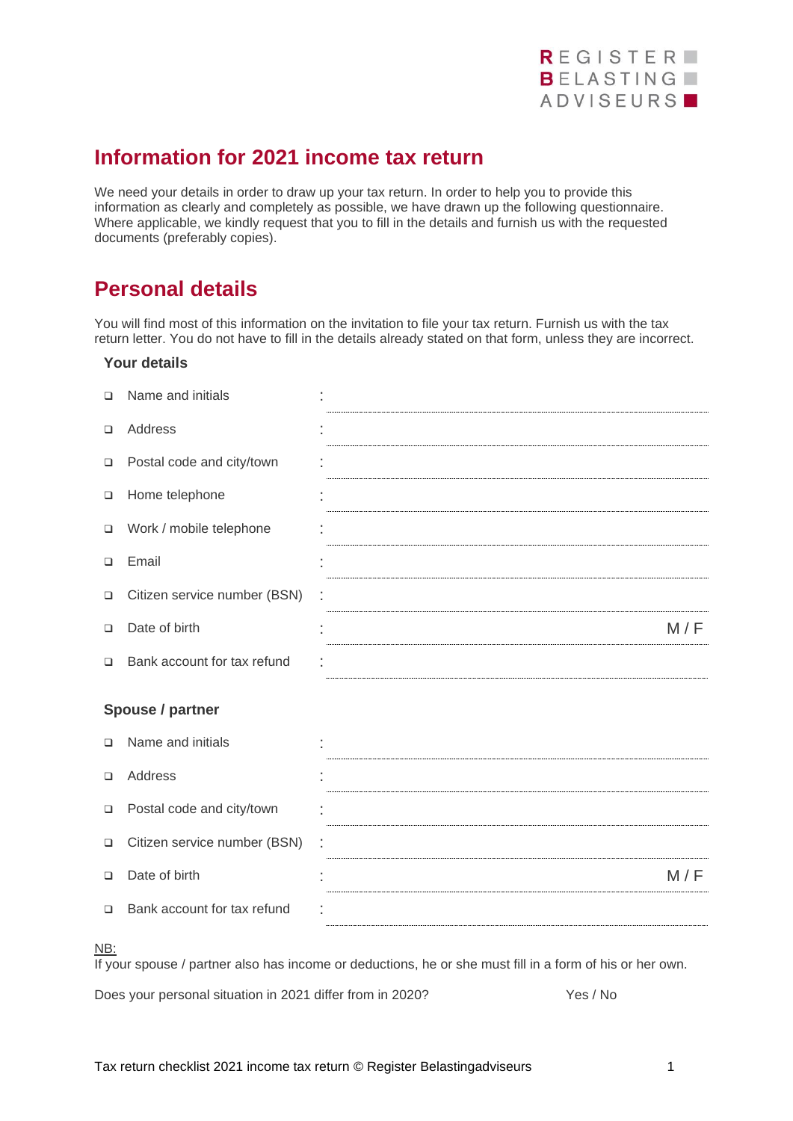

# **Information for 2021 income tax return**

We need your details in order to draw up your tax return. In order to help you to provide this information as clearly and completely as possible, we have drawn up the following questionnaire. Where applicable, we kindly request that you to fill in the details and furnish us with the requested documents (preferably copies).

## **Personal details**

You will find most of this information on the invitation to file your tax return. Furnish us with the tax return letter. You do not have to fill in the details already stated on that form, unless they are incorrect.

### **Your details**

| $\Box$ | Name and initials            |     |
|--------|------------------------------|-----|
| $\Box$ | Address                      |     |
| $\Box$ | Postal code and city/town    |     |
| $\Box$ | Home telephone               |     |
| $\Box$ | Work / mobile telephone      |     |
| □      | Email                        |     |
| $\Box$ | Citizen service number (BSN) |     |
| $\Box$ | Date of birth                | M/F |
| $\Box$ | Bank account for tax refund  |     |
|        | Spouse / partner             |     |
| $\Box$ | Name and initials            |     |
| □      | Address                      |     |
| $\Box$ | Postal code and city/town    |     |
| $\Box$ | Citizen service number (BSN) |     |
| $\Box$ | Date of birth                | M/F |
| $\Box$ | Bank account for tax refund  |     |

#### NB:

If your spouse / partner also has income or deductions, he or she must fill in a form of his or her own.

Does your personal situation in 2021 differ from in 2020? Yes / No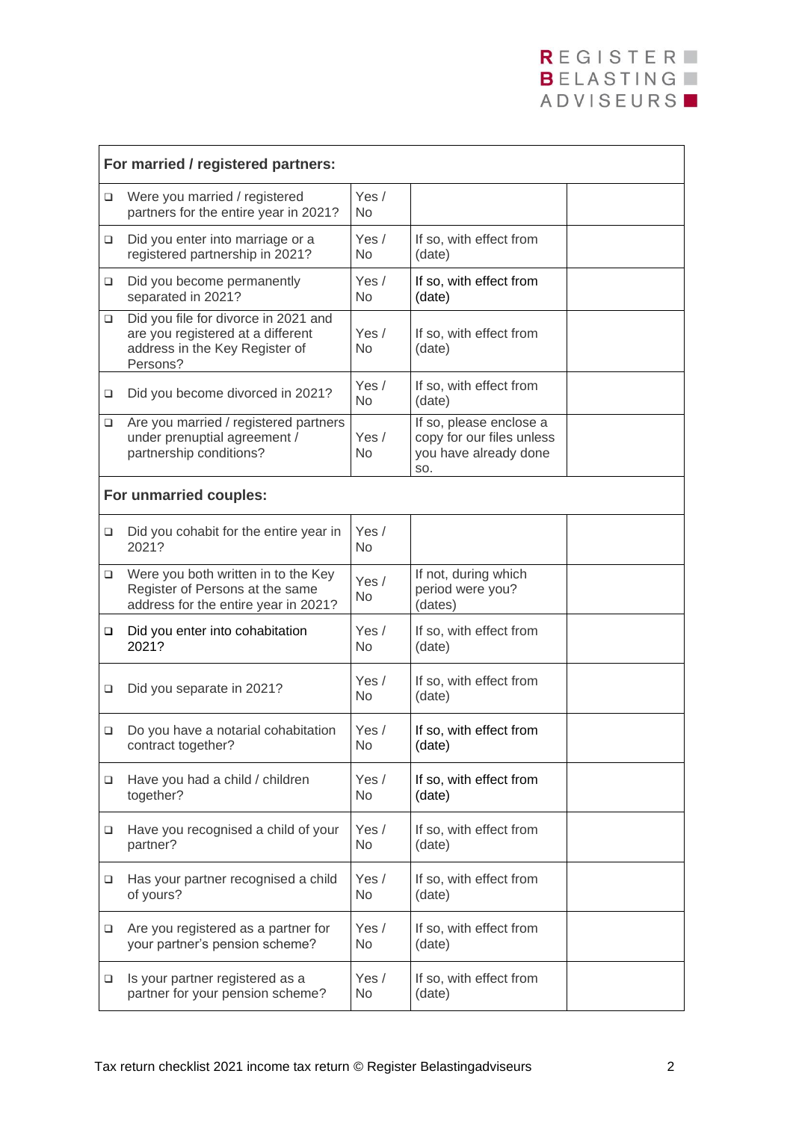## REGISTER BELASTING ADVISEURS **N**

|   | For married / registered partners:                                                                                      |                    |                                                                                      |  |  |
|---|-------------------------------------------------------------------------------------------------------------------------|--------------------|--------------------------------------------------------------------------------------|--|--|
| ❏ | Were you married / registered<br>partners for the entire year in 2021?                                                  | Yes /<br><b>No</b> |                                                                                      |  |  |
| ❏ | Did you enter into marriage or a<br>registered partnership in 2021?                                                     | Yes /<br><b>No</b> | If so, with effect from<br>(date)                                                    |  |  |
| □ | Did you become permanently<br>separated in 2021?                                                                        | Yes $/$<br>No.     | If so, with effect from<br>(date)                                                    |  |  |
| ❏ | Did you file for divorce in 2021 and<br>are you registered at a different<br>address in the Key Register of<br>Persons? | Yes /<br><b>No</b> | If so, with effect from<br>(date)                                                    |  |  |
| □ | Did you become divorced in 2021?                                                                                        | Yes /<br>No        | If so, with effect from<br>(date)                                                    |  |  |
| ❏ | Are you married / registered partners<br>under prenuptial agreement /<br>partnership conditions?                        | Yes /<br>No        | If so, please enclose a<br>copy for our files unless<br>you have already done<br>SO. |  |  |
|   | For unmarried couples:                                                                                                  |                    |                                                                                      |  |  |
| □ | Did you cohabit for the entire year in<br>2021?                                                                         | Yes $/$<br>No      |                                                                                      |  |  |
| ❏ | Were you both written in to the Key<br>Register of Persons at the same<br>address for the entire year in 2021?          | Yes $/$<br>No      | If not, during which<br>period were you?<br>(dates)                                  |  |  |
| □ | Did you enter into cohabitation<br>2021?                                                                                | Yes $/$<br>No      | If so, with effect from<br>(date)                                                    |  |  |
| ❏ | Did you separate in 2021?                                                                                               | Yes $/$<br>No      | If so, with effect from<br>(date)                                                    |  |  |
| ❏ | Do you have a notarial cohabitation<br>contract together?                                                               | Yes $/$<br>No      | If so, with effect from<br>(date)                                                    |  |  |
| □ | Have you had a child / children<br>together?                                                                            | Yes/<br>No.        | If so, with effect from<br>(date)                                                    |  |  |
| □ | Have you recognised a child of your<br>partner?                                                                         | Yes /<br>No.       | If so, with effect from<br>(date)                                                    |  |  |
| □ | Has your partner recognised a child<br>of yours?                                                                        | Yes /<br>No.       | If so, with effect from<br>(date)                                                    |  |  |
| □ | Are you registered as a partner for<br>your partner's pension scheme?                                                   | Yes /<br>No        | If so, with effect from<br>(date)                                                    |  |  |
| □ | Is your partner registered as a<br>partner for your pension scheme?                                                     | Yes /<br>No        | If so, with effect from<br>(date)                                                    |  |  |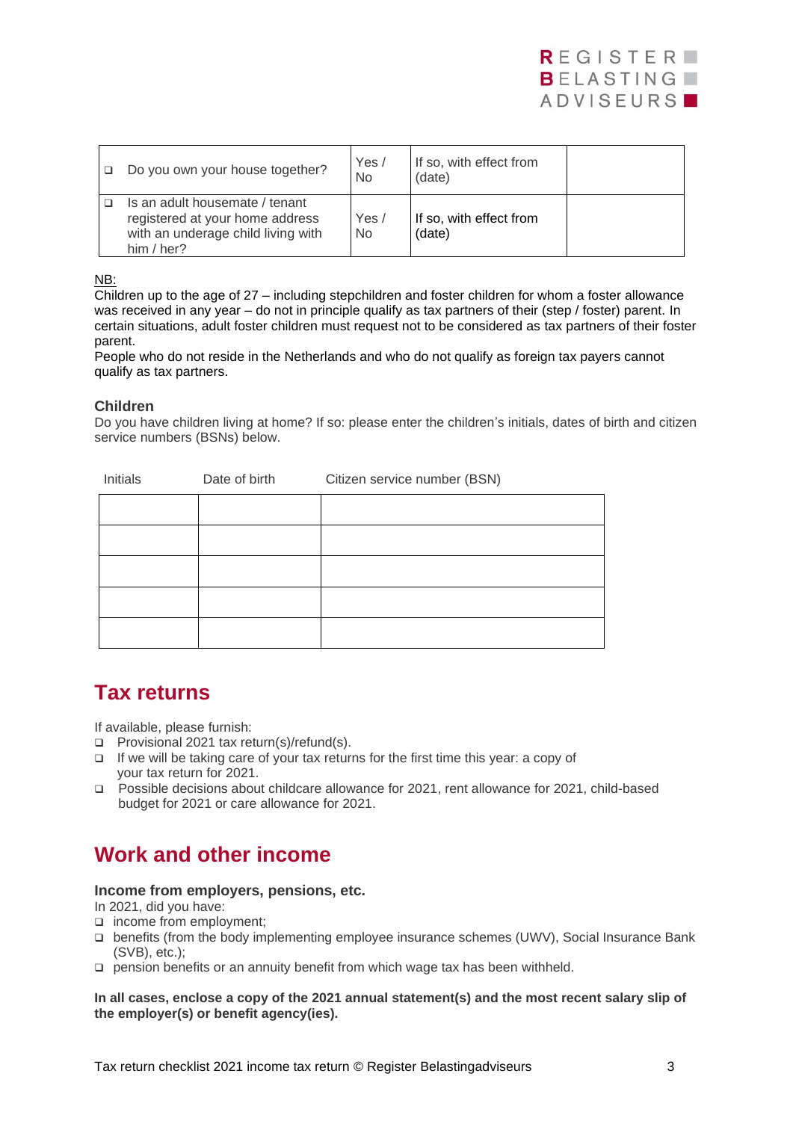

| Do you own your house together?                                                                                         | Yes /<br>No        | If so, with effect from<br>(date) |  |
|-------------------------------------------------------------------------------------------------------------------------|--------------------|-----------------------------------|--|
| Is an adult housemate / tenant<br>registered at your home address<br>with an underage child living with<br>him $/$ her? | Yes /<br><b>No</b> | If so, with effect from<br>(date) |  |

## NB:

Children up to the age of 27 – including stepchildren and foster children for whom a foster allowance was received in any year – do not in principle qualify as tax partners of their (step / foster) parent. In certain situations, adult foster children must request not to be considered as tax partners of their foster parent.

People who do not reside in the Netherlands and who do not qualify as foreign tax payers cannot qualify as tax partners.

### **Children**

Do you have children living at home? If so: please enter the children's initials, dates of birth and citizen service numbers (BSNs) below.

| Initials | Date of birth | Citizen service number (BSN) |
|----------|---------------|------------------------------|
|          |               |                              |
|          |               |                              |
|          |               |                              |
|          |               |                              |
|          |               |                              |

## **Tax returns**

If available, please furnish:

- ❑ Provisional 2021 tax return(s)/refund(s).
- ❑ If we will be taking care of your tax returns for the first time this year: a copy of your tax return for 2021.
- ❑ Possible decisions about childcare allowance for 2021, rent allowance for 2021, child-based budget for 2021 or care allowance for 2021.

# **Work and other income**

### **Income from employers, pensions, etc.**

In 2021, did you have:

- ❑ income from employment;
- ❑ benefits (from the body implementing employee insurance schemes (UWV), Social Insurance Bank (SVB), etc.);
- ❑ pension benefits or an annuity benefit from which wage tax has been withheld.

**In all cases, enclose a copy of the 2021 annual statement(s) and the most recent salary slip of the employer(s) or benefit agency(ies).**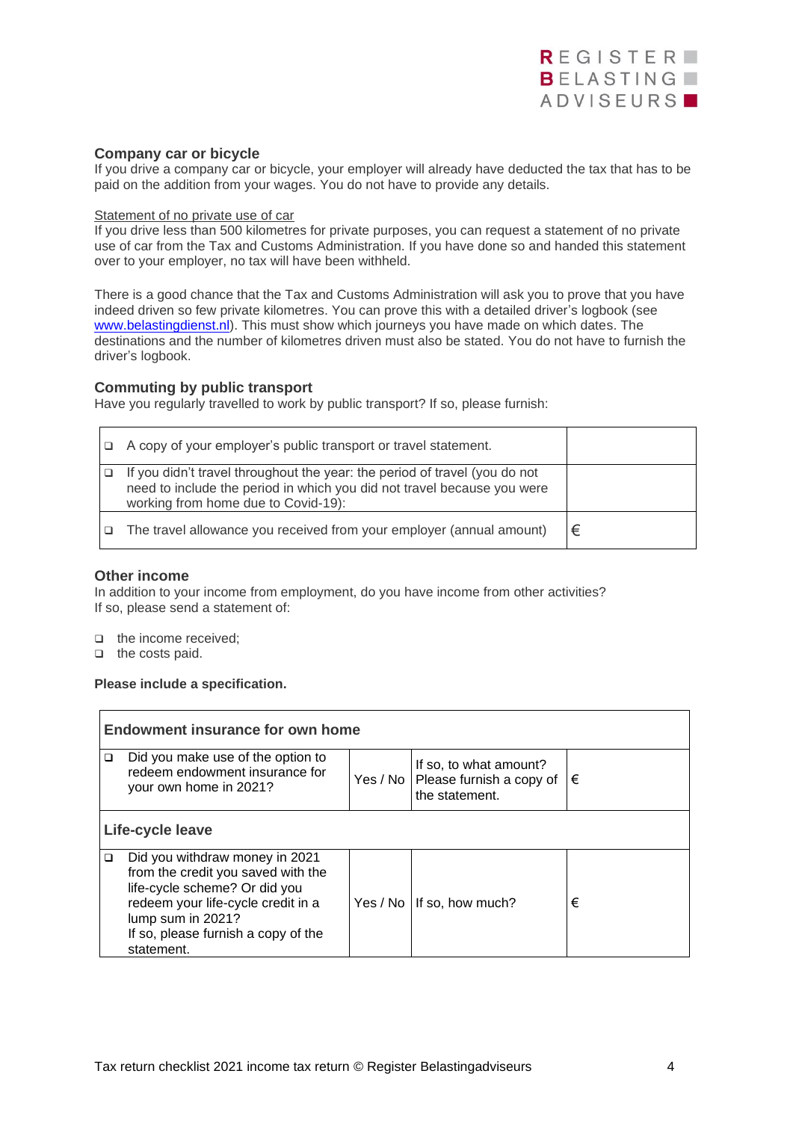

### **Company car or bicycle**

If you drive a company car or bicycle, your employer will already have deducted the tax that has to be paid on the addition from your wages. You do not have to provide any details.

#### Statement of no private use of car

If you drive less than 500 kilometres for private purposes, you can request a statement of no private use of car from the Tax and Customs Administration. If you have done so and handed this statement over to your employer, no tax will have been withheld.

There is a good chance that the Tax and Customs Administration will ask you to prove that you have indeed driven so few private kilometres. You can prove this with a detailed driver's logbook (see [www.belastingdienst.nl\)](http://www.belastingdienst.nl/). This must show which journeys you have made on which dates. The destinations and the number of kilometres driven must also be stated. You do not have to furnish the driver's logbook.

### **Commuting by public transport**

Have you regularly travelled to work by public transport? If so, please furnish:

|  | A copy of your employer's public transport or travel statement.                                                                                                                              |   |
|--|----------------------------------------------------------------------------------------------------------------------------------------------------------------------------------------------|---|
|  | If you didn't travel throughout the year: the period of travel (you do not<br>need to include the period in which you did not travel because you were<br>working from home due to Covid-19): |   |
|  | The travel allowance you received from your employer (annual amount)                                                                                                                         | € |

#### **Other income**

In addition to your income from employment, do you have income from other activities? If so, please send a statement of:

- ❑ the income received;
- ❑ the costs paid.

#### **Please include a specification.**

|   | Endowment insurance for own home                                                                                                                                                                                      |          |                                                                                 |    |  |
|---|-----------------------------------------------------------------------------------------------------------------------------------------------------------------------------------------------------------------------|----------|---------------------------------------------------------------------------------|----|--|
| ◘ | Did you make use of the option to<br>redeem endowment insurance for<br>your own home in 2021?                                                                                                                         |          | If so, to what amount?<br>Yes / No   Please furnish a copy of<br>the statement. | ∣€ |  |
|   | Life-cycle leave                                                                                                                                                                                                      |          |                                                                                 |    |  |
| ◘ | Did you withdraw money in 2021<br>from the credit you saved with the<br>life-cycle scheme? Or did you<br>redeem your life-cycle credit in a<br>lump sum in 2021?<br>If so, please furnish a copy of the<br>statement. | Yes / No | If so, how much?                                                                | €  |  |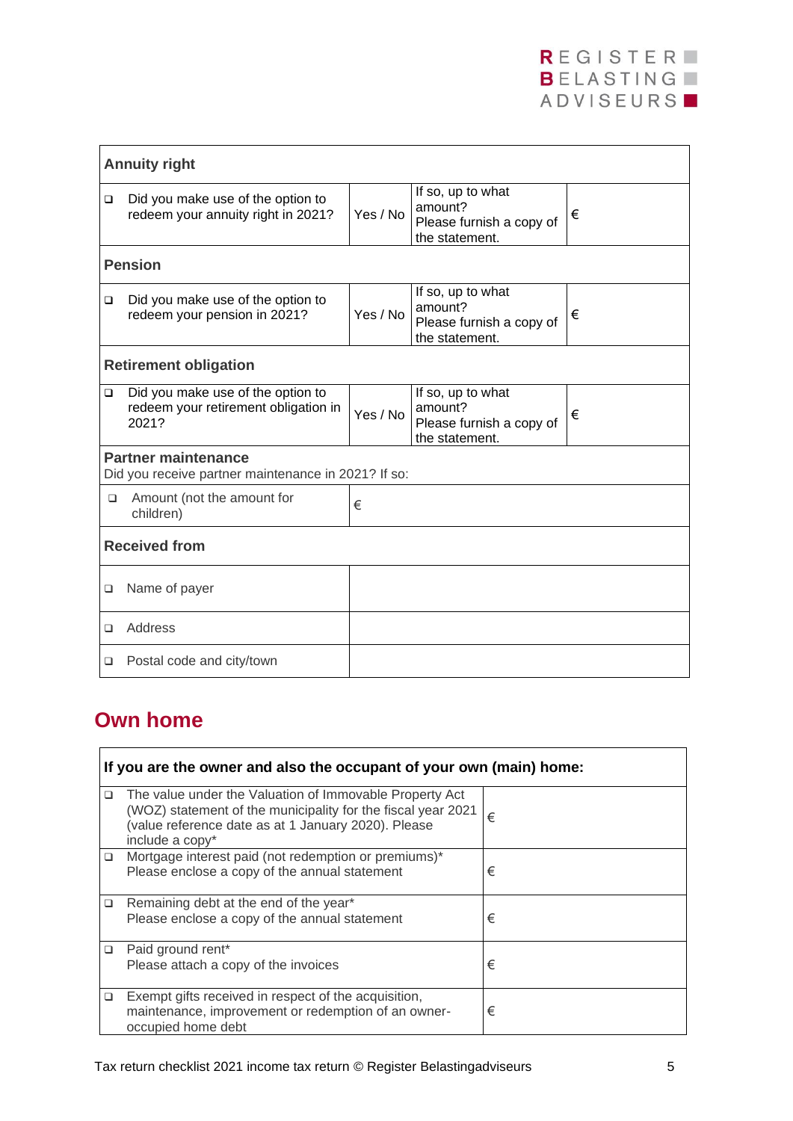|                                              | <b>Annuity right</b>                                                               |          |                                                                            |   |
|----------------------------------------------|------------------------------------------------------------------------------------|----------|----------------------------------------------------------------------------|---|
| □                                            | Did you make use of the option to<br>redeem your annuity right in 2021?            | Yes / No | If so, up to what<br>amount?<br>Please furnish a copy of<br>the statement. | € |
|                                              | <b>Pension</b>                                                                     |          |                                                                            |   |
| ◻                                            | Did you make use of the option to<br>redeem your pension in 2021?                  | Yes / No | If so, up to what<br>amount?<br>Please furnish a copy of<br>the statement. | € |
|                                              | <b>Retirement obligation</b>                                                       |          |                                                                            |   |
| $\Box$                                       | Did you make use of the option to<br>redeem your retirement obligation in<br>2021? | Yes / No | If so, up to what<br>amount?<br>Please furnish a copy of<br>the statement. | € |
|                                              | <b>Partner maintenance</b><br>Did you receive partner maintenance in 2021? If so:  |          |                                                                            |   |
| Amount (not the amount for<br>❏<br>children) |                                                                                    | €        |                                                                            |   |
|                                              | <b>Received from</b>                                                               |          |                                                                            |   |
| ❏                                            | Name of payer                                                                      |          |                                                                            |   |
| □                                            | Address                                                                            |          |                                                                            |   |
| ❏                                            | Postal code and city/town                                                          |          |                                                                            |   |

# **Own home**

|        | If you are the owner and also the occupant of your own (main) home:                                                                                                                               |   |  |  |
|--------|---------------------------------------------------------------------------------------------------------------------------------------------------------------------------------------------------|---|--|--|
| □      | The value under the Valuation of Immovable Property Act<br>(WOZ) statement of the municipality for the fiscal year 2021<br>(value reference date as at 1 January 2020). Please<br>include a copy* | € |  |  |
| $\Box$ | Mortgage interest paid (not redemption or premiums)*<br>Please enclose a copy of the annual statement                                                                                             | € |  |  |
| ❏      | Remaining debt at the end of the year*<br>Please enclose a copy of the annual statement                                                                                                           | € |  |  |
| $\Box$ | Paid ground rent*<br>Please attach a copy of the invoices                                                                                                                                         | € |  |  |
| ❏      | Exempt gifts received in respect of the acquisition,<br>maintenance, improvement or redemption of an owner-<br>occupied home debt                                                                 | € |  |  |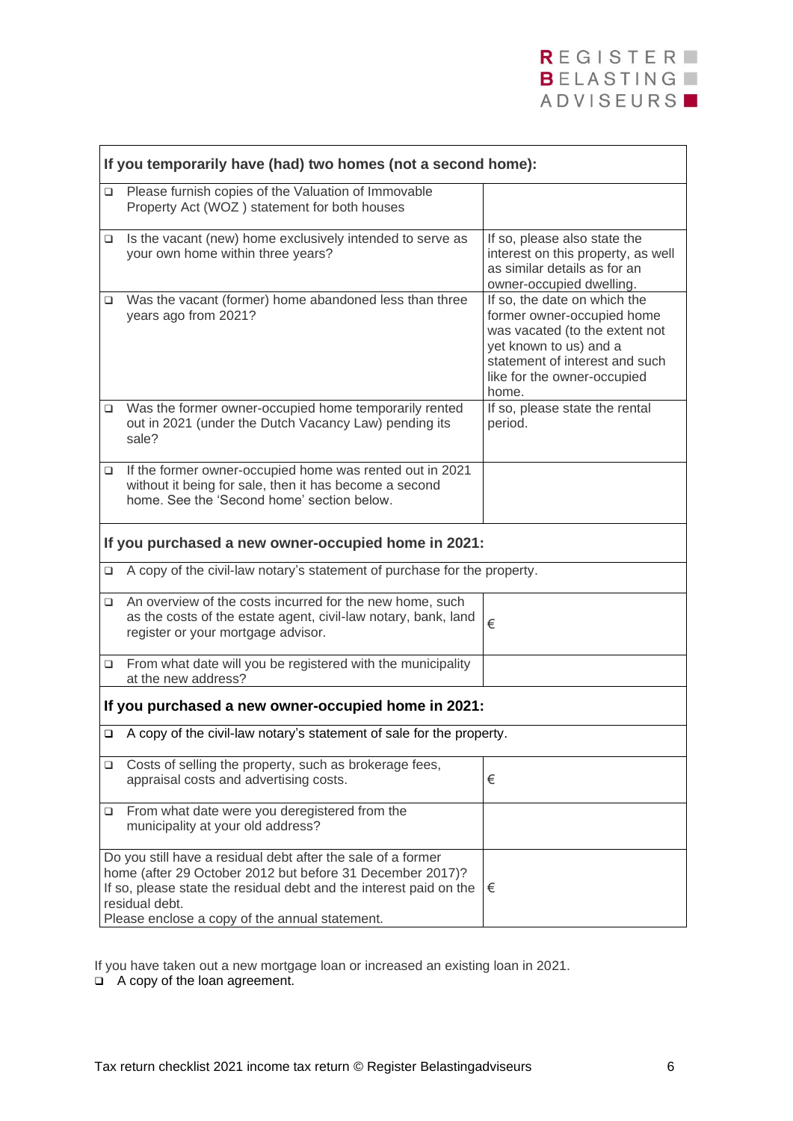|        | If you temporarily have (had) two homes (not a second home):                                                                                                                                                                                                        |                                                                                                                                                                                                  |  |  |
|--------|---------------------------------------------------------------------------------------------------------------------------------------------------------------------------------------------------------------------------------------------------------------------|--------------------------------------------------------------------------------------------------------------------------------------------------------------------------------------------------|--|--|
| $\Box$ | Please furnish copies of the Valuation of Immovable<br>Property Act (WOZ) statement for both houses                                                                                                                                                                 |                                                                                                                                                                                                  |  |  |
| O.     | Is the vacant (new) home exclusively intended to serve as<br>your own home within three years?                                                                                                                                                                      | If so, please also state the<br>interest on this property, as well<br>as similar details as for an<br>owner-occupied dwelling.                                                                   |  |  |
|        | $\Box$ Was the vacant (former) home abandoned less than three<br>years ago from 2021?                                                                                                                                                                               | If so, the date on which the<br>former owner-occupied home<br>was vacated (to the extent not<br>yet known to us) and a<br>statement of interest and such<br>like for the owner-occupied<br>home. |  |  |
|        | □ Was the former owner-occupied home temporarily rented<br>out in 2021 (under the Dutch Vacancy Law) pending its<br>sale?                                                                                                                                           | If so, please state the rental<br>period.                                                                                                                                                        |  |  |
|        | $\Box$ If the former owner-occupied home was rented out in 2021<br>without it being for sale, then it has become a second<br>home. See the 'Second home' section below.                                                                                             |                                                                                                                                                                                                  |  |  |
|        | If you purchased a new owner-occupied home in 2021:                                                                                                                                                                                                                 |                                                                                                                                                                                                  |  |  |
| ❏      | A copy of the civil-law notary's statement of purchase for the property.                                                                                                                                                                                            |                                                                                                                                                                                                  |  |  |
| o.     | An overview of the costs incurred for the new home, such<br>as the costs of the estate agent, civil-law notary, bank, land<br>register or your mortgage advisor.                                                                                                    | €                                                                                                                                                                                                |  |  |
| □      | From what date will you be registered with the municipality<br>at the new address?                                                                                                                                                                                  |                                                                                                                                                                                                  |  |  |
|        | If you purchased a new owner-occupied home in 2021:                                                                                                                                                                                                                 |                                                                                                                                                                                                  |  |  |
| □      | A copy of the civil-law notary's statement of sale for the property.                                                                                                                                                                                                |                                                                                                                                                                                                  |  |  |
|        | □ Costs of selling the property, such as brokerage fees,<br>appraisal costs and advertising costs.                                                                                                                                                                  | €                                                                                                                                                                                                |  |  |
|        | $\Box$ From what date were you deregistered from the<br>municipality at your old address?                                                                                                                                                                           |                                                                                                                                                                                                  |  |  |
|        | Do you still have a residual debt after the sale of a former<br>home (after 29 October 2012 but before 31 December 2017)?<br>If so, please state the residual debt and the interest paid on the<br>residual debt.<br>Please enclose a copy of the annual statement. | €                                                                                                                                                                                                |  |  |

If you have taken out a new mortgage loan or increased an existing loan in 2021.

❑ A copy of the loan agreement.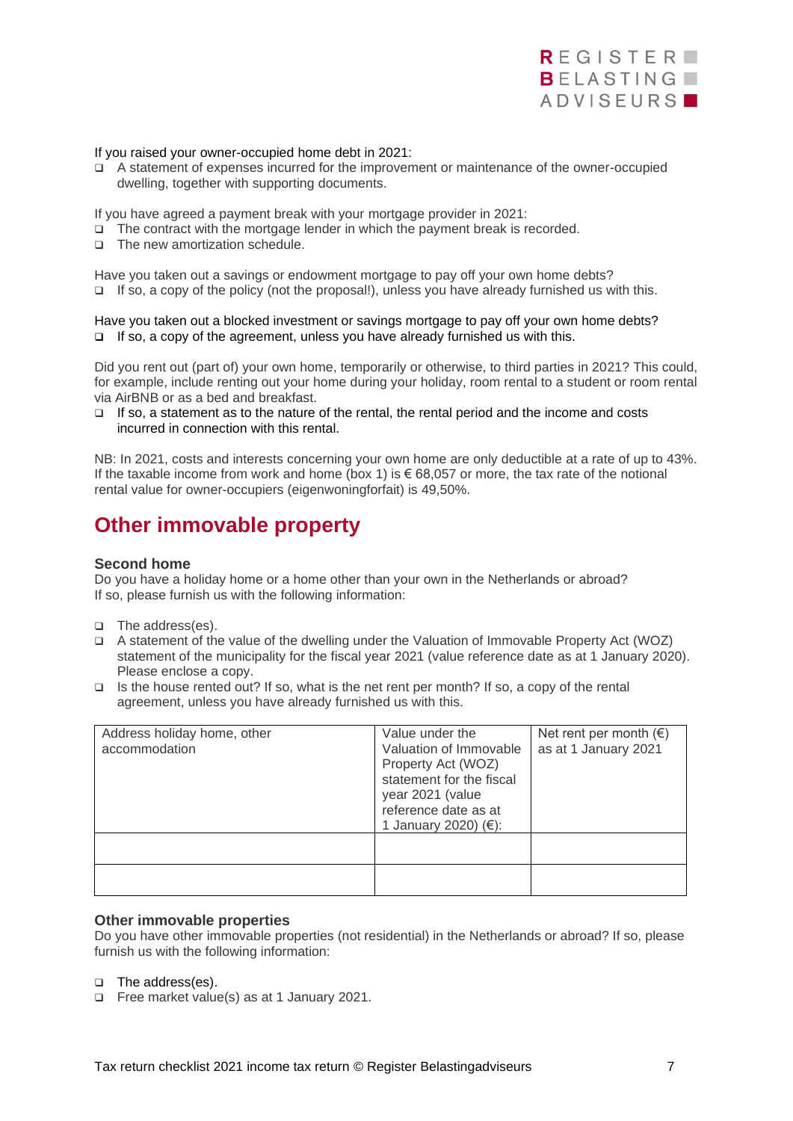

#### If you raised your owner-occupied home debt in 2021:

❑ A statement of expenses incurred for the improvement or maintenance of the owner-occupied dwelling, together with supporting documents.

If you have agreed a payment break with your mortgage provider in 2021:

- ❑ The contract with the mortgage lender in which the payment break is recorded.
- ❑ The new amortization schedule.

Have you taken out a savings or endowment mortgage to pay off your own home debts?  $\Box$  If so, a copy of the policy (not the proposal!), unless you have already furnished us with this.

#### Have you taken out a blocked investment or savings mortgage to pay off your own home debts? ❑ If so, a copy of the agreement, unless you have already furnished us with this.

Did you rent out (part of) your own home, temporarily or otherwise, to third parties in 2021? This could, for example, include renting out your home during your holiday, room rental to a student or room rental via AirBNB or as a bed and breakfast.

❑ If so, a statement as to the nature of the rental, the rental period and the income and costs incurred in connection with this rental.

NB: In 2021, costs and interests concerning your own home are only deductible at a rate of up to 43%. If the taxable income from work and home (box 1) is  $\epsilon$  68,057 or more, the tax rate of the notional rental value for owner-occupiers (eigenwoningforfait) is 49,50%.

## **Other immovable property**

#### **Second home**

Do you have a holiday home or a home other than your own in the Netherlands or abroad? If so, please furnish us with the following information:

- ❑ The address(es).
- ❑ A statement of the value of the dwelling under the Valuation of Immovable Property Act (WOZ) statement of the municipality for the fiscal year 2021 (value reference date as at 1 January 2020). Please enclose a copy.
- ❑ Is the house rented out? If so, what is the net rent per month? If so, a copy of the rental agreement, unless you have already furnished us with this.

| Address holiday home, other<br>accommodation | Value under the<br>Valuation of Immovable<br>Property Act (WOZ)<br>statement for the fiscal<br>year 2021 (value<br>reference date as at<br>1 January 2020) (€): | Net rent per month $(\epsilon)$<br>as at 1 January 2021 |
|----------------------------------------------|-----------------------------------------------------------------------------------------------------------------------------------------------------------------|---------------------------------------------------------|
|                                              |                                                                                                                                                                 |                                                         |
|                                              |                                                                                                                                                                 |                                                         |

#### **Other immovable properties**

Do you have other immovable properties (not residential) in the Netherlands or abroad? If so, please furnish us with the following information:

#### ❑ The address(es).

❑ Free market value(s) as at 1 January 2021.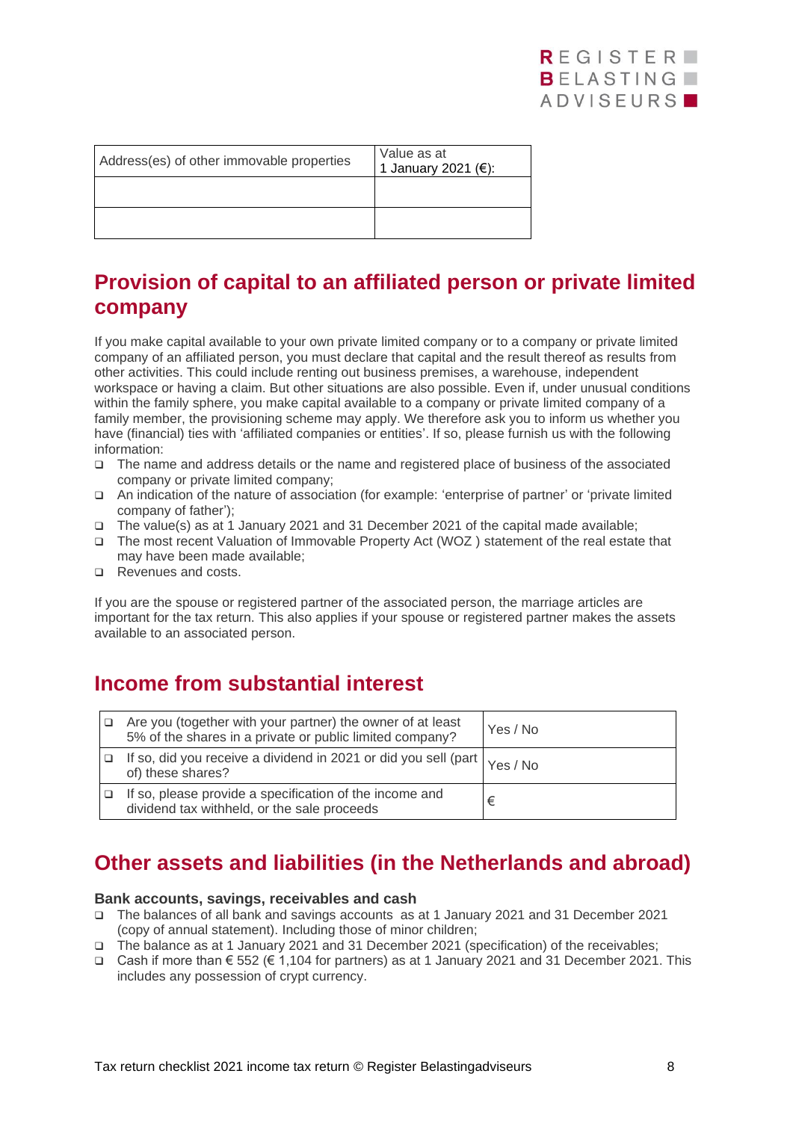

| Address(es) of other immovable properties | Value as at<br>1 January 2021 (€): |
|-------------------------------------------|------------------------------------|
|                                           |                                    |
|                                           |                                    |

# **Provision of capital to an affiliated person or private limited company**

If you make capital available to your own private limited company or to a company or private limited company of an affiliated person, you must declare that capital and the result thereof as results from other activities. This could include renting out business premises, a warehouse, independent workspace or having a claim. But other situations are also possible. Even if, under unusual conditions within the family sphere, you make capital available to a company or private limited company of a family member, the provisioning scheme may apply. We therefore ask you to inform us whether you have (financial) ties with 'affiliated companies or entities'. If so, please furnish us with the following information:

- ❑ The name and address details or the name and registered place of business of the associated company or private limited company;
- ❑ An indication of the nature of association (for example: 'enterprise of partner' or 'private limited company of father');
- ❑ The value(s) as at 1 January 2021 and 31 December 2021 of the capital made available;
- ❑ The most recent Valuation of Immovable Property Act (WOZ ) statement of the real estate that may have been made available;
- ❑ Revenues and costs.

If you are the spouse or registered partner of the associated person, the marriage articles are important for the tax return. This also applies if your spouse or registered partner makes the assets available to an associated person.

## **Income from substantial interest**

| Are you (together with your partner) the owner of at least<br>5% of the shares in a private or public limited company? | Yes / No |
|------------------------------------------------------------------------------------------------------------------------|----------|
| If so, did you receive a dividend in 2021 or did you sell (part $\vert$ Yes / No<br>of) these shares?                  |          |
| If so, please provide a specification of the income and<br>dividend tax withheld, or the sale proceeds                 | €        |

# **Other assets and liabilities (in the Netherlands and abroad)**

## **Bank accounts, savings, receivables and cash**

- ❑ The balances of all bank and savings accounts as at 1 January 2021 and 31 December 2021 (copy of annual statement). Including those of minor children;
- ❑ The balance as at 1 January 2021 and 31 December 2021 (specification) of the receivables;
- ❑ Cash if more than € 552 (€ 1,104 for partners) as at 1 January 2021 and 31 December 2021. This includes any possession of crypt currency.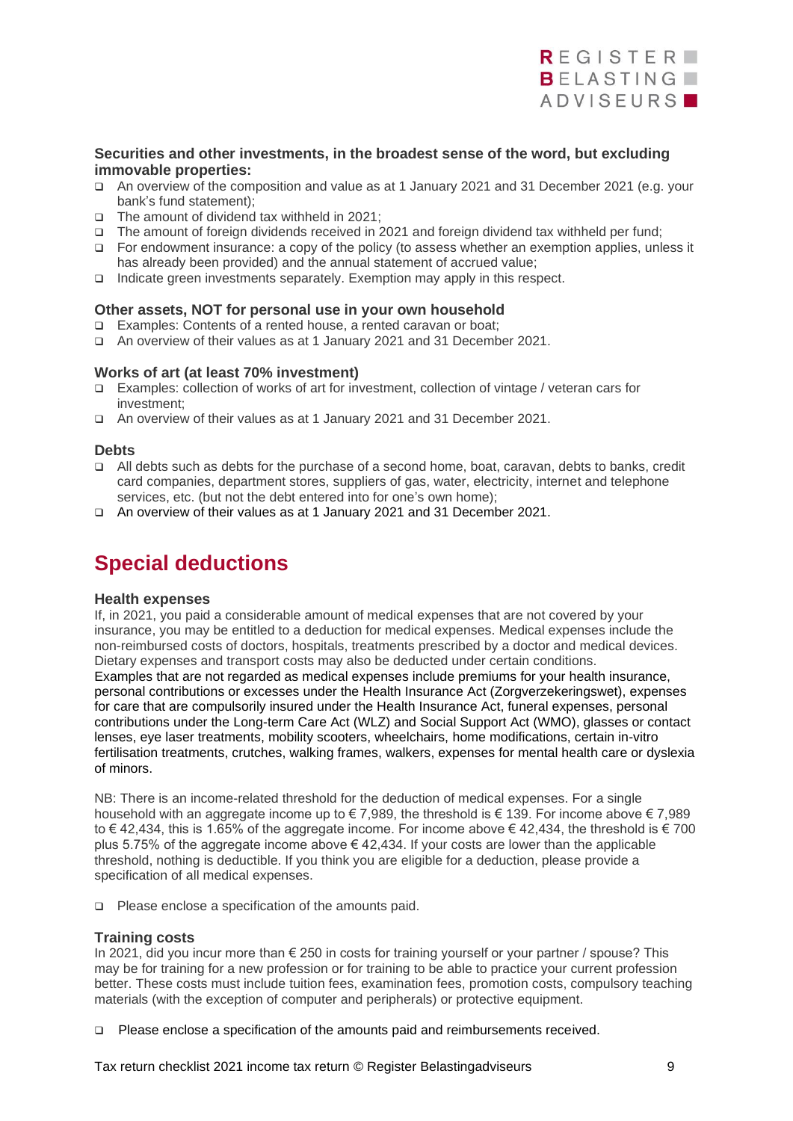

## **Securities and other investments, in the broadest sense of the word, but excluding immovable properties:**

- ❑ An overview of the composition and value as at 1 January 2021 and 31 December 2021 (e.g. your bank's fund statement);
- ❑ The amount of dividend tax withheld in 2021;
- ❑ The amount of foreign dividends received in 2021 and foreign dividend tax withheld per fund;
- ❑ For endowment insurance: a copy of the policy (to assess whether an exemption applies, unless it has already been provided) and the annual statement of accrued value;
- ❑ Indicate green investments separately. Exemption may apply in this respect.

### **Other assets, NOT for personal use in your own household**

- ❑ Examples: Contents of a rented house, a rented caravan or boat;
- ❑ An overview of their values as at 1 January 2021 and 31 December 2021.

#### **Works of art (at least 70% investment)**

- ❑ Examples: collection of works of art for investment, collection of vintage / veteran cars for investment;
- ❑ An overview of their values as at 1 January 2021 and 31 December 2021.

#### **Debts**

- ❑ All debts such as debts for the purchase of a second home, boat, caravan, debts to banks, credit card companies, department stores, suppliers of gas, water, electricity, internet and telephone services, etc. (but not the debt entered into for one's own home);
- ❑ An overview of their values as at 1 January 2021 and 31 December 2021.

## **Special deductions**

#### **Health expenses**

If, in 2021, you paid a considerable amount of medical expenses that are not covered by your insurance, you may be entitled to a deduction for medical expenses. Medical expenses include the non-reimbursed costs of doctors, hospitals, treatments prescribed by a doctor and medical devices. Dietary expenses and transport costs may also be deducted under certain conditions. Examples that are not regarded as medical expenses include premiums for your health insurance, personal contributions or excesses under the Health Insurance Act (Zorgverzekeringswet), expenses for care that are compulsorily insured under the Health Insurance Act, funeral expenses, personal contributions under the Long-term Care Act (WLZ) and Social Support Act (WMO), glasses or contact lenses, eye laser treatments, mobility scooters, wheelchairs, home modifications, certain in-vitro fertilisation treatments, crutches, walking frames, walkers, expenses for mental health care or dyslexia of minors.

NB: There is an income-related threshold for the deduction of medical expenses. For a single household with an aggregate income up to  $\in 7,989$ , the threshold is  $\in 139$ . For income above  $\in 7,989$ to € 42,434, this is 1.65% of the aggregate income. For income above € 42,434, the threshold is € 700 plus 5.75% of the aggregate income above  $\epsilon$  42,434. If your costs are lower than the applicable threshold, nothing is deductible. If you think you are eligible for a deduction, please provide a specification of all medical expenses.

❑ Please enclose a specification of the amounts paid.

#### **Training costs**

In 2021, did you incur more than € 250 in costs for training yourself or your partner / spouse? This may be for training for a new profession or for training to be able to practice your current profession better. These costs must include tuition fees, examination fees, promotion costs, compulsory teaching materials (with the exception of computer and peripherals) or protective equipment.

❑ Please enclose a specification of the amounts paid and reimbursements received.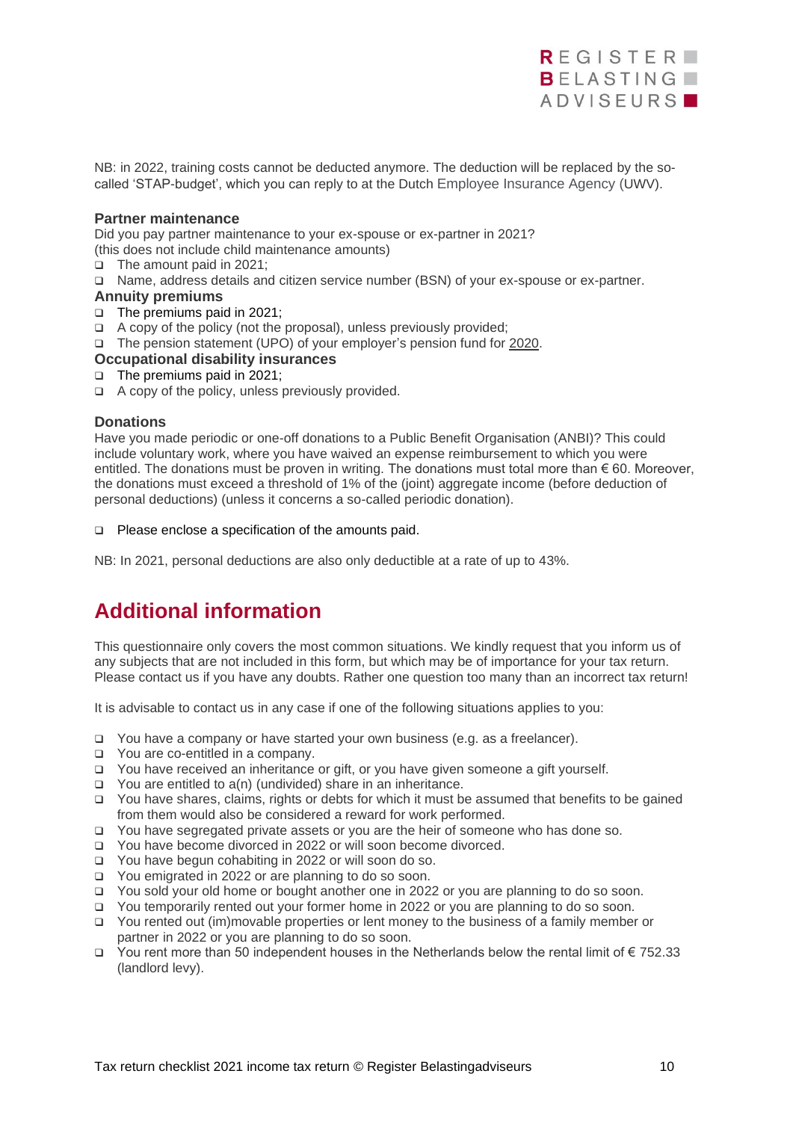

NB: in 2022, training costs cannot be deducted anymore. The deduction will be replaced by the socalled 'STAP-budget', which you can reply to at the Dutch Employee Insurance Agency (UWV).

#### **Partner maintenance**

Did you pay partner maintenance to your ex-spouse or ex-partner in 2021?

- (this does not include child maintenance amounts)
- ❑ The amount paid in 2021;
- ❑ Name, address details and citizen service number (BSN) of your ex-spouse or ex-partner.

### **Annuity premiums**

- ❑ The premiums paid in 2021;
- ❑ A copy of the policy (not the proposal), unless previously provided;
- ❑ The pension statement (UPO) of your employer's pension fund for 2020.

### **Occupational disability insurances**

- ❑ The premiums paid in 2021;
- ❑ A copy of the policy, unless previously provided.

#### **Donations**

Have you made periodic or one-off donations to a Public Benefit Organisation (ANBI)? This could include voluntary work, where you have waived an expense reimbursement to which you were entitled. The donations must be proven in writing. The donations must total more than € 60. Moreover, the donations must exceed a threshold of 1% of the (joint) aggregate income (before deduction of personal deductions) (unless it concerns a so-called periodic donation).

❑ Please enclose a specification of the amounts paid.

NB: In 2021, personal deductions are also only deductible at a rate of up to 43%.

# **Additional information**

This questionnaire only covers the most common situations. We kindly request that you inform us of any subjects that are not included in this form, but which may be of importance for your tax return. Please contact us if you have any doubts. Rather one question too many than an incorrect tax return!

It is advisable to contact us in any case if one of the following situations applies to you:

- ❑ You have a company or have started your own business (e.g. as a freelancer).
- ❑ You are co-entitled in a company.
- ❑ You have received an inheritance or gift, or you have given someone a gift yourself.
- ❑ You are entitled to a(n) (undivided) share in an inheritance.
- ❑ You have shares, claims, rights or debts for which it must be assumed that benefits to be gained from them would also be considered a reward for work performed.
- ❑ You have segregated private assets or you are the heir of someone who has done so.
- ❑ You have become divorced in 2022 or will soon become divorced.
- ❑ You have begun cohabiting in 2022 or will soon do so.
- ❑ You emigrated in 2022 or are planning to do so soon.
- ❑ You sold your old home or bought another one in 2022 or you are planning to do so soon.
- ❑ You temporarily rented out your former home in 2022 or you are planning to do so soon.
- ❑ You rented out (im)movable properties or lent money to the business of a family member or partner in 2022 or you are planning to do so soon.
- ❑ You rent more than 50 independent houses in the Netherlands below the rental limit of € 752.33 (landlord levy).